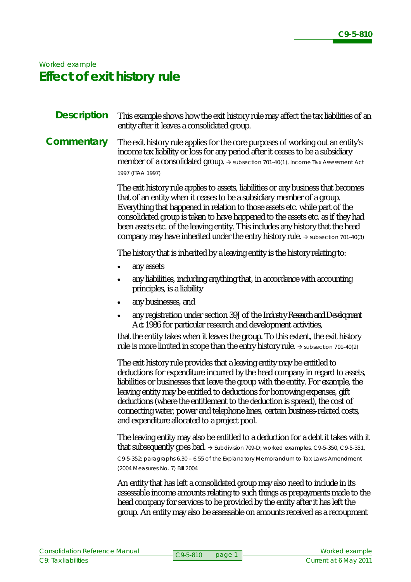# *Worked example* **Effect of exit history rule**

#### This example shows how the exit history rule may affect the tax liabilities of an entity after it leaves a consolidated group. **Description**

#### The exit history rule applies for the core purposes of working out an entity's income tax liability or loss for any period after it ceases to be a subsidiary member of a consolidated group. → subsection 701-40(1), *Income Tax Assessment Act 1997* (ITAA 1997) **Commentary**

The exit history rule applies to assets, liabilities or any business that becomes that of an entity when it ceases to be a subsidiary member of a group. Everything that happened in relation to those assets etc. while part of the consolidated group is taken to have happened to the assets etc. as if they had been assets etc. of the leaving entity. This includes any history that the head company may have inherited under the entry history rule.  $\rightarrow$  subsection 701-40(3)

The history that is inherited by a leaving entity is the history relating to:

- any assets
- any liabilities, including anything that, in accordance with accounting principles, is a liability
- any businesses, and
- any registration under section 39J of the *Industry Research and Development Act 1986* for particular research and development activities,

that the entity takes when it leaves the group. To this extent, the exit history rule is more limited in scope than the entry history rule.  $\rightarrow$  subsection 701-40(2)

The exit history rule provides that a leaving entity may be entitled to deductions for expenditure incurred by the head company in regard to assets, liabilities or businesses that leave the group with the entity. For example, the leaving entity may be entitled to deductions for borrowing expenses, gift deductions (where the entitlement to the deduction is spread), the cost of connecting water, power and telephone lines, certain business-related costs, and expenditure allocated to a project pool.

The leaving entity may also be entitled to a deduction for a debt it takes with it that subsequently goes bad.  $\rightarrow$  Subdivision 709-D; worked examples, C9-5-350, C9-5-351, C9-5-352; paragraphs 6.30 – 6.55 of the Explanatory Memorandum to Tax Laws Amendment

(2004 Measures No. 7) Bill 2004

An entity that has left a consolidated group may also need to include in its assessable income amounts relating to such things as prepayments made to the head company for services to be provided by the entity after it has left the group. An entity may also be assessable on amounts received as a recoupment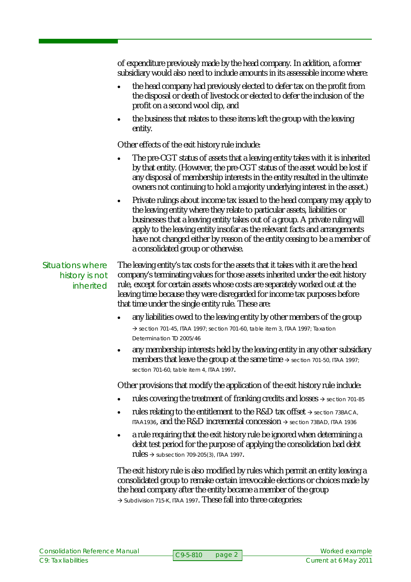of expenditure previously made by the head company. In addition, a former subsidiary would also need to include amounts in its assessable income where:

- the head company had previously elected to defer tax on the profit from the disposal or death of livestock or elected to defer the inclusion of the profit on a second wool clip, and
- the business that relates to these items left the group with the leaving entity.

Other effects of the exit history rule include:

- The pre-CGT status of assets that a leaving entity takes with it is inherited by that entity. (However, the pre-CGT status of the asset would be lost if any disposal of membership interests in the entity resulted in the ultimate owners not continuing to hold a majority underlying interest in the asset.)
- Private rulings about income tax issued to the head company may apply to the leaving entity where they relate to particular assets, liabilities or businesses that a leaving entity takes out of a group. A private ruling will apply to the leaving entity insofar as the relevant facts and arrangements have not changed either by reason of the entity ceasing to be a member of a consolidated group or otherwise.

# Situations where history is not inherited

The leaving entity's tax costs for the assets that it takes with it are the head company's terminating values for those assets inherited under the exit history rule, except for certain assets whose costs are separately worked out at the leaving time because they were disregarded for income tax purposes before that time under the single entity rule. These are:

- any liabilities owed to the leaving entity by other members of the group  $\rightarrow$  section 701-45, ITAA 1997; section 701-60, table item 3, ITAA 1997; Taxation Determination TD 2005/46
- any membership interests held by the leaving entity in any other subsidiary members that leave the group at the same time  $\rightarrow$  section 701-50, ITAA 1997; section 701-60, table item 4, ITAA 1997.

Other provisions that modify the application of the exit history rule include:

- rules covering the treatment of franking credits and losses  $\rightarrow$  section 701-85
- rules relating to the entitlement to the R&D tax offset  $\rightarrow$  section 73BACA, ITAA1936, and the  $R&D$  incremental concession  $\rightarrow$  section 73BAD, ITAA 1936
- a rule requiring that the exit history rule be ignored when determining a debt test period for the purpose of applying the consolidation bad debt  $rules \rightarrow$  subsection 709-205(3), ITAA 1997.

The exit history rule is also modified by rules which permit an entity leaving a consolidated group to remake certain irrevocable elections or choices made by the head company after the entity became a member of the group  $\rightarrow$  Subdivision 715-K, ITAA 1997. These fall into three categories: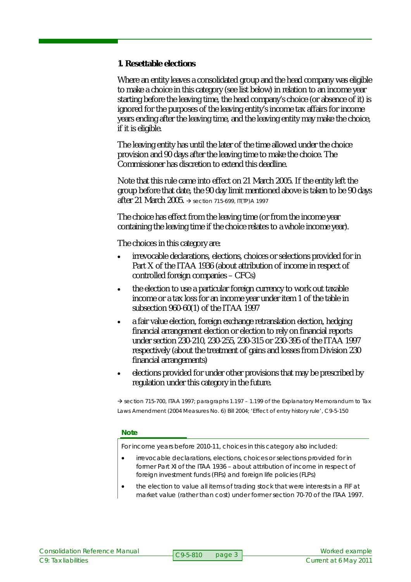### **1. Resettable elections**

Where an entity leaves a consolidated group and the head company was eligible to make a choice in this category (see list below) in relation to an income year starting before the leaving time, the head company's choice (or absence of it) is ignored for the purposes of the leaving entity's income tax affairs for income years ending after the leaving time, and the leaving entity may make the choice, if it is eligible.

The leaving entity has until the later of the time allowed under the choice provision and 90 days after the leaving time to make the choice. The Commissioner has discretion to extend this deadline.

Note that this rule came into effect on 21 March 2005. If the entity left the group before that date, the 90 day limit mentioned above is taken to be 90 days after 21 March 2005.  $\rightarrow$  section 715-699, IT(TP)A 1997

The choice has effect from the leaving time (or from the income year containing the leaving time if the choice relates to a whole income year).

The choices in this category are:

- irrevocable declarations, elections, choices or selections provided for in Part X of the ITAA 1936 (about attribution of income in respect of controlled foreign companies – CFCs)
- the election to use a particular foreign currency to work out taxable income or a tax loss for an income year under item 1 of the table in subsection 960-60(1) of the ITAA 1997
- a fair value election, foreign exchange retranslation election, hedging financial arrangement election or election to rely on financial reports under section 230-210, 230-255, 230-315 or 230-395 of the ITAA 1997 respectively (about the treatment of gains and losses from Division 230 financial arrangements)
- elections provided for under other provisions that may be prescribed by regulation under this category in the future.

 $\rightarrow$  section 715-700, ITAA 1997; paragraphs 1.197 – 1.199 of the Explanatory Memorandum to Tax Laws Amendment (2004 Measures No. 6) Bill 2004; 'Effect of entry history rule', C9-5-150

### **Note**

For income years before 2010-11, choices in this category also included:

- irrevocable declarations, elections, choices or selections provided for in former Part XI of the ITAA 1936 – about attribution of income in respect of foreign investment funds (FIFs) and foreign life policies (FLPs)
- the election to value all items of trading stock that were interests in a FIF at market value (rather than cost) under former section 70-70 of the ITAA 1997.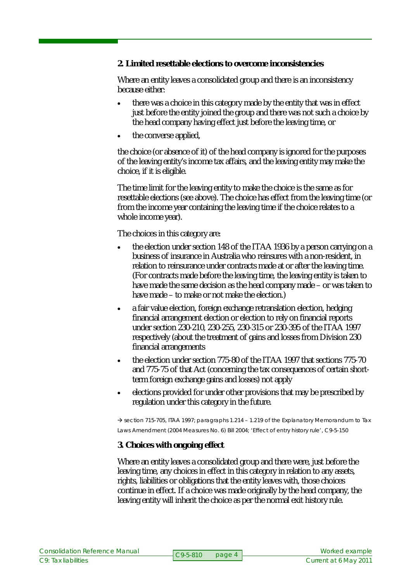**2. Limited resettable elections to overcome inconsistencies**

Where an entity leaves a consolidated group and there is an inconsistency because either:

- there was a choice in this category made by the entity that was in effect just before the entity joined the group and there was not such a choice by the head company having effect just before the leaving time, or
- the converse applied,

the choice (or absence of it) of the head company is ignored for the purposes of the leaving entity's income tax affairs, and the leaving entity may make the choice, if it is eligible.

The time limit for the leaving entity to make the choice is the same as for resettable elections (see above). The choice has effect from the leaving time (or from the income year containing the leaving time if the choice relates to a whole income year).

The choices in this category are:

- the election under section 148 of the ITAA 1936 by a person carrying on a business of insurance in Australia who reinsures with a non-resident, in relation to reinsurance under contracts made at or after the leaving time. (For contracts made before the leaving time, the leaving entity is taken to have made the same decision as the head company made – or was taken to have made – to make or not make the election.)
- a fair value election, foreign exchange retranslation election, hedging financial arrangement election or election to rely on financial reports under section 230-210, 230-255, 230-315 or 230-395 of the ITAA 1997 respectively (about the treatment of gains and losses from Division 230 financial arrangements
- the election under section 775-80 of the ITAA 1997 that sections 775-70 and 775-75 of that Act (concerning the tax consequences of certain shortterm foreign exchange gains and losses) not apply
- elections provided for under other provisions that may be prescribed by regulation under this category in the future.

 $\rightarrow$  section 715-705, ITAA 1997; paragraphs 1.214 – 1.219 of the Explanatory Memorandum to Tax Laws Amendment (2004 Measures No. 6) Bill 2004; 'Effect of entry history rule', C9-5-150

**3. Choices with ongoing effect**

Where an entity leaves a consolidated group and there were, just before the leaving time, any choices in effect in this category in relation to any assets, rights, liabilities or obligations that the entity leaves with, those choices continue in effect. If a choice was made originally by the head company, the leaving entity will inherit the choice as per the normal exit history rule.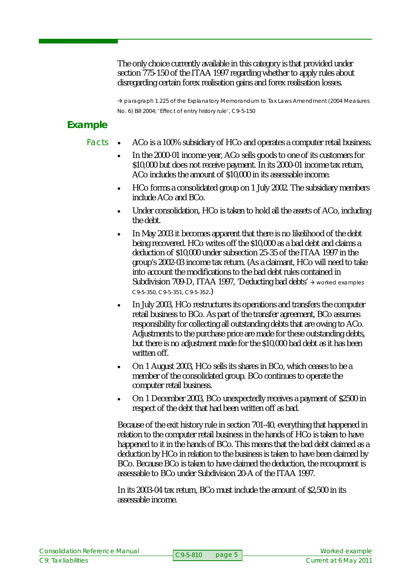The only choice currently available in this category is that provided under section 775-150 of the ITAA 1997 regarding whether to apply rules about disregarding certain forex realisation gains and forex realisation losses.

 $\rightarrow$  paragraph 1.225 of the Explanatory Memorandum to Tax Laws Amendment (2004 Measures No. 6) Bill 2004; 'Effect of entry history rule', C9-5-150

# **Example**

## Facts

- ACo is a 100% subsidiary of HCo and operates a computer retail business.
	- In the 2000-01 income year, ACo sells goods to one of its customers for \$10,000 but does not receive payment. In its 2000-01 income tax return, ACo includes the amount of \$10,000 in its assessable income.
	- HCo forms a consolidated group on 1 July 2002. The subsidiary members include ACo and BCo.
	- Under consolidation, HCo is taken to hold all the assets of ACo, including the debt.
	- In May 2003 it becomes apparent that there is no likelihood of the debt being recovered. HCo writes off the \$10,000 as a bad debt and claims a deduction of \$10,000 under subsection 25-35 of the ITAA 1997 in the group's 2002-03 income tax return. (As a claimant, HCo will need to take into account the modifications to the bad debt rules contained in Subdivision 709-D, ITAA 1997, 'Deducting bad debts'  $\rightarrow$  worked examples C9-5-350, C9-5-351, C9-5-352.)
	- In July 2003, HCo restructures its operations and transfers the computer retail business to BCo. As part of the transfer agreement, BCo assumes responsibility for collecting all outstanding debts that are owing to ACo. Adjustments to the purchase price are made for these outstanding debts, but there is no adjustment made for the \$10,000 bad debt as it has been written off.
	- On 1 August 2003, HCo sells its shares in BCo, which ceases to be a member of the consolidated group. BCo continues to operate the computer retail business.
	- On 1 December 2003, BCo unexpectedly receives a payment of \$2500 in respect of the debt that had been written off as bad.

Because of the exit history rule in section 701-40, everything that happened in relation to the computer retail business in the hands of HCo is taken to have happened to it in the hands of BCo. This means that the bad debt claimed as a deduction by HCo in relation to the business is taken to have been claimed by BCo. Because BCo is taken to have claimed the deduction, the recoupment is assessable to BCo under Subdivision 20-A of the ITAA 1997.

In its 2003-04 tax return, BCo must include the amount of \$2,500 in its assessable income.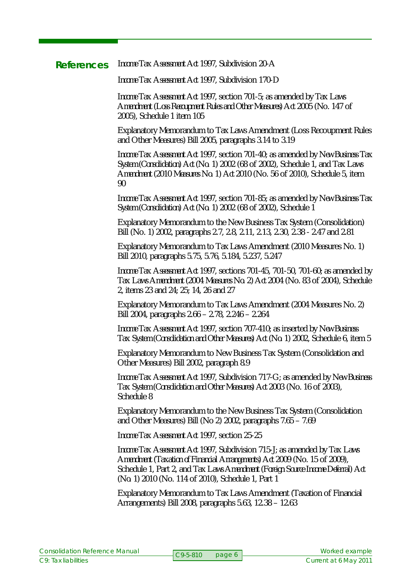#### *Income Tax Assessment Act 1997*, Subdivision 20-A **References**

*Income Tax Assessment Act 1997*, Subdivision 170-D

*Income Tax Assessment Act 1997*, section 701-5; as amended by *Tax Laws Amendment (Loss Recoupment Rules and Other Measures) Act 2005* (No. 147 of 2005), Schedule 1 item 105

Explanatory Memorandum to Tax Laws Amendment (Loss Recoupment Rules and Other Measures) Bill 2005, paragraphs 3.14 to 3.19

*Income Tax Assessment Act 1997*, section 701-40; as amended by *New Business Tax System (Consolidation) Act (No. 1) 2002* (68 of 2002), Schedule 1, and *Tax Laws Amendment (2010 Measures No. 1) Act 2010* (No. 56 of 2010), Schedule 5, item 90

*Income Tax Assessment Act 1997*, section 701-85; as amended by *New Business Tax System (Consolidation) Act (No. 1) 2002* (68 of 2002), Schedule 1

Explanatory Memorandum to the New Business Tax System (Consolidation) Bill (No. 1) 2002, paragraphs 2.7, 2.8, 2.11, 2.13, 2.30, 2.38 - 2.47 and 2.81

Explanatory Memorandum to Tax Laws Amendment (2010 Measures No. 1) Bill 2010, paragraphs 5.75, 5.76, 5.184, 5.237, 5.247

*Income Tax Assessment Act 1997*, sections 701-45, 701-50, 701-60; as amended by *Tax Laws Amendment (2004 Measures No. 2) Act 2004* (No. 83 of 2004), Schedule 2, items 23 and 24; 25; 14, 26 and 27

Explanatory Memorandum to Tax Laws Amendment (2004 Measures No. 2) Bill 2004, paragraphs 2.66 – 2.78, 2.246 – 2.264

*Income Tax Assessment Act 1997*, section 707-410; as inserted by *New Business Tax System (Consolidation and Other Measures) Act (No. 1) 2002*, Schedule 6, item 5

Explanatory Memorandum to New Business Tax System (Consolidation and Other Measures) Bill 2002, paragraph 8.9

*Income Tax Assessment Act 1997*, Subdivision 717-G; as amended by *New Business Tax System (Consolidation and Other Measures) Act 2003* (No. 16 of 2003), Schedule 8

Explanatory Memorandum to the New Business Tax System (Consolidation and Other Measures) Bill (No 2) 2002, paragraphs 7.65 – 7.69

*Income Tax Assessment Act 1997,* section 25-25

*Income Tax Assessment Act 1997*, Subdivision 715-J; as amended by *Tax Laws Amendment (Taxation of Financial Arrangements) Act 2009* (No. 15 of 2009), Schedule 1, Part 2, and *Tax Laws Amendment (Foreign Source Income Deferral) Act (No. 1) 2010* (No. 114 of 2010), Schedule 1, Part 1

Explanatory Memorandum to Tax Laws Amendment (Taxation of Financial Arrangements) Bill 2008, paragraphs 5.63, 12.38 – 12.63